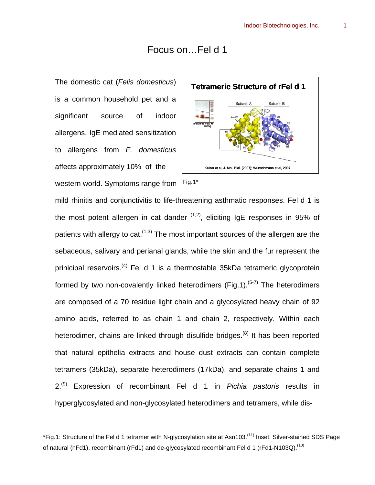## Focus on…Fel d 1

The domestic cat (*Felis domesticus*) is a common household pet and a significant source of indoor allergens. IgE mediated sensitization to allergens from *F. domesticus* affects approximately 10% of the western world. Symptoms range from Fig.1\*



mild rhinitis and conjunctivitis to life-threatening asthmatic responses. Fel d 1 is the most potent allergen in cat dander  $(1,2)$ , eliciting IgE responses in 95% of patients with allergy to cat.<sup> $(1,3)$ </sup> The most important sources of the allergen are the sebaceous, salivary and perianal glands, while the skin and the fur represent the prinicipal reservoirs.<sup>(4)</sup> Fel d 1 is a thermostable 35kDa tetrameric glycoprotein formed by two non-covalently linked heterodimers (Fig.1).<sup>(5-7)</sup> The heterodimers are composed of a 70 residue light chain and a glycosylated heavy chain of 92 amino acids, referred to as chain 1 and chain 2, respectively. Within each heterodimer, chains are linked through disulfide bridges.<sup>(8)</sup> It has been reported that natural epithelia extracts and house dust extracts can contain complete tetramers (35kDa), separate heterodimers (17kDa), and separate chains 1 and 2.(9) Expression of recombinant Fel d 1 in *Pichia pastoris* results in hyperglycosylated and non-glycosylated heterodimers and tetramers, while dis-

<sup>\*</sup>Fig.1: Structure of the Fel d 1 tetramer with N-glycosylation site at Asn103.(11) Inset: Silver-stained SDS Page of natural (nFd1), recombinant (rFd1) and de-glycosylated recombinant Fel d 1 (rFd1-N103Q).<sup>(10)</sup>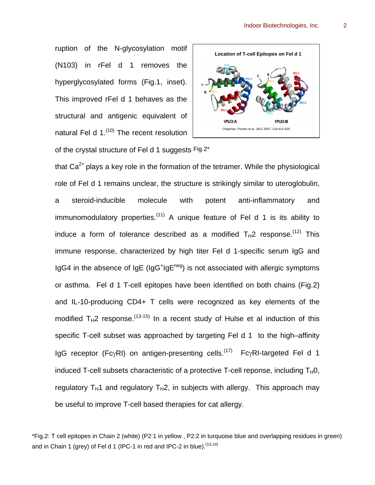ruption of the N-glycosylation motif (N103) in rFel d 1 removes the hyperglycosylated forms (Fig.1, inset). This improved rFel d 1 behaves as the structural and antigenic equivalent of natural Fel d 1.<sup>(10)</sup> The recent resolution

of the crystal structure of Fel d 1 suggests Fig.2\*



that  $Ca<sup>2+</sup>$  plays a key role in the formation of the tetramer. While the physiological role of Fel d 1 remains unclear, the structure is strikingly similar to uteroglobulin, a steroid-inducible molecule with potent anti-inflammatory and immunomodulatory properties.<sup>(11)</sup> A unique feature of Fel d 1 is its ability to induce a form of tolerance described as a modified  $T_H2$  response.<sup>(12)</sup> This immune response, characterized by high titer Fel d 1-specific serum IgG and IgG4 in the absence of IgE (IgG<sup>+</sup>IgE<sup>neg</sup>) is not associated with allergic symptoms or asthma. Fel d 1 T-cell epitopes have been identified on both chains (Fig.2) and IL-10-producing CD4+ T cells were recognized as key elements of the modified  $T_H$ 2 response.<sup>(13-15)</sup> In a recent study of Hulse et al induction of this specific T-cell subset was approached by targeting Fel d 1 to the high–affinity IgG receptor (FcγRI) on antigen-presenting cells.<sup>(17)</sup> FcγRI-targeted Fel d 1 induced T-cell subsets characteristic of a protective T-cell reponse, including  $T_H0$ , regulatory  $T_H1$  and regulatory  $T_H2$ , in subjects with allergy. This approach may

be useful to improve T-cell based therapies for cat allergy.

<sup>\*</sup>Fig.2: T cell epitopes in Chain 2 (white) (P2:1 in yellow , P2:2 in turquoise blue and overlapping residues in green) and in Chain 1 (grey) of Fel d 1 (IPC-1 in red and IPC-2 in blue).<sup>(13,14)</sup>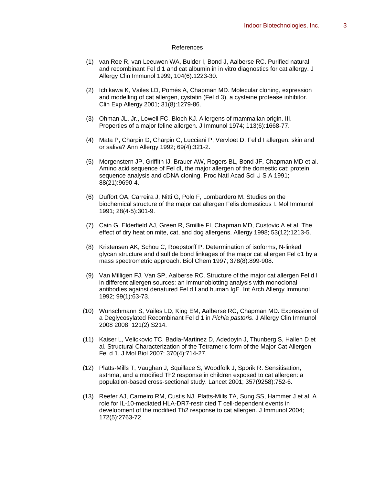## References

- (1) van Ree R, van Leeuwen WA, Bulder I, Bond J, Aalberse RC. Purified natural and recombinant Fel d 1 and cat albumin in in vitro diagnostics for cat allergy. J Allergy Clin Immunol 1999; 104(6):1223-30.
- (2) Ichikawa K, Vailes LD, Pomés A, Chapman MD. Molecular cloning, expression and modelling of cat allergen, cystatin (Fel d 3), a cysteine protease inhibitor. Clin Exp Allergy 2001; 31(8):1279-86.
- (3) Ohman JL, Jr., Lowell FC, Bloch KJ. Allergens of mammalian origin. III. Properties of a major feline allergen. J Immunol 1974; 113(6):1668-77.
- (4) Mata P, Charpin D, Charpin C, Lucciani P, Vervloet D. Fel d I allergen: skin and or saliva? Ann Allergy 1992; 69(4):321-2.
- (5) Morgenstern JP, Griffith IJ, Brauer AW, Rogers BL, Bond JF, Chapman MD et al. Amino acid sequence of Fel dI, the major allergen of the domestic cat: protein sequence analysis and cDNA cloning. Proc Natl Acad Sci U S A 1991; 88(21):9690-4.
- (6) Duffort OA, Carreira J, Nitti G, Polo F, Lombardero M. Studies on the biochemical structure of the major cat allergen Felis domesticus I. Mol Immunol 1991; 28(4-5):301-9.
- (7) Cain G, Elderfield AJ, Green R, Smillie FI, Chapman MD, Custovic A et al. The effect of dry heat on mite, cat, and dog allergens. Allergy 1998; 53(12):1213-5.
- (8) Kristensen AK, Schou C, Roepstorff P. Determination of isoforms, N-linked glycan structure and disulfide bond linkages of the major cat allergen Fel d1 by a mass spectrometric approach. Biol Chem 1997; 378(8):899-908.
- (9) Van Milligen FJ, Van SP, Aalberse RC. Structure of the major cat allergen Fel d I in different allergen sources: an immunoblotting analysis with monoclonal antibodies against denatured Fel d I and human IgE. Int Arch Allergy Immunol 1992; 99(1):63-73.
- (10) Wünschmann S, Vailes LD, King EM, Aalberse RC, Chapman MD. Expression of a Deglycosylated Recombinant Fel d 1 in *Pichia pastoris*. J Allergy Clin Immunol 2008 2008; 121(2):S214.
- (11) Kaiser L, Velickovic TC, Badia-Martinez D, Adedoyin J, Thunberg S, Hallen D et al. Structural Characterization of the Tetrameric form of the Major Cat Allergen Fel d 1. J Mol Biol 2007; 370(4):714-27.
- (12) Platts-Mills T, Vaughan J, Squillace S, Woodfolk J, Sporik R. Sensitisation, asthma, and a modified Th2 response in children exposed to cat allergen: a population-based cross-sectional study. Lancet 2001; 357(9258):752-6.
- (13) Reefer AJ, Carneiro RM, Custis NJ, Platts-Mills TA, Sung SS, Hammer J et al. A role for IL-10-mediated HLA-DR7-restricted T cell-dependent events in development of the modified Th2 response to cat allergen. J Immunol 2004; 172(5):2763-72.